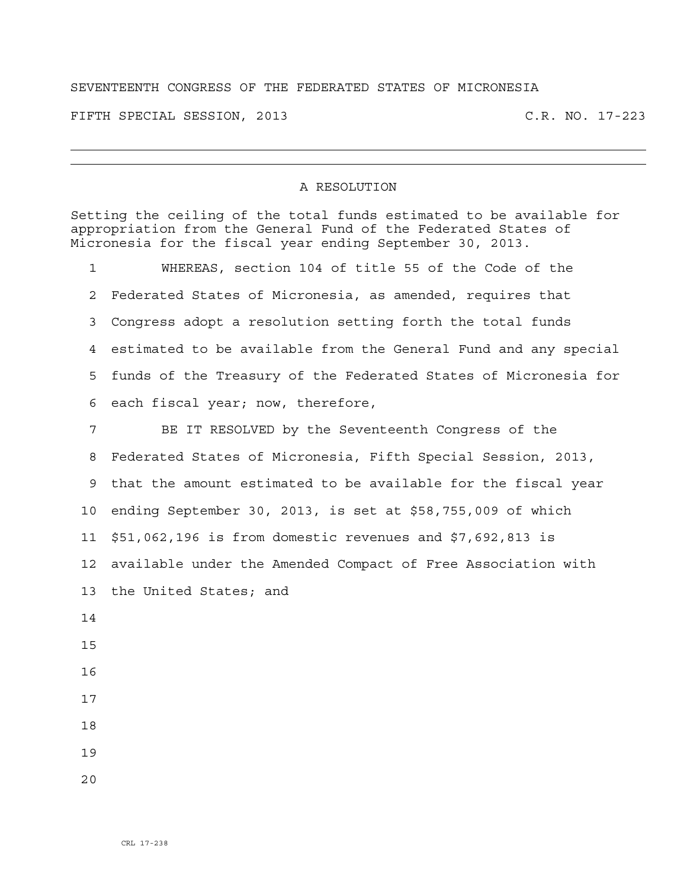## SEVENTEENTH CONGRESS OF THE FEDERATED STATES OF MICRONESIA

FIFTH SPECIAL SESSION, 2013 C.R. NO. 17-223

## A RESOLUTION

Setting the ceiling of the total funds estimated to be available for appropriation from the General Fund of the Federated States of Micronesia for the fiscal year ending September 30, 2013.

1 WHEREAS, section 104 of title 55 of the Code of the 2 Federated States of Micronesia, as amended, requires that 3 Congress adopt a resolution setting forth the total funds 4 estimated to be available from the General Fund and any special 5 funds of the Treasury of the Federated States of Micronesia for 6 each fiscal year; now, therefore,

7 BE IT RESOLVED by the Seventeenth Congress of the 8 Federated States of Micronesia, Fifth Special Session, 2013, 9 that the amount estimated to be available for the fiscal year 10 ending September 30, 2013, is set at \$58,755,009 of which 11 \$51,062,196 is from domestic revenues and \$7,692,813 is 12 available under the Amended Compact of Free Association with 13 the United States; and 14 15 16 17

- 18
- 19
- $2.0$